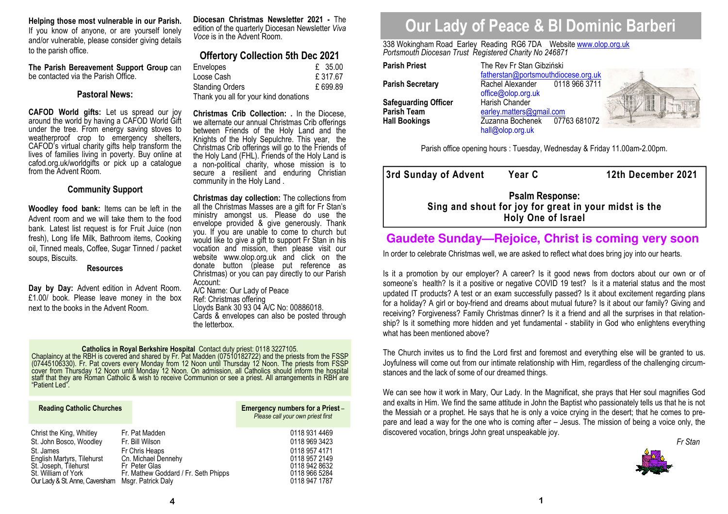**Helping those most vulnerable in our Parish.**  If you know of anyone, or are yourself lonely and/or vulnerable, please consider giving details to the parish office.

**The Parish Bereavement Support Group** can be contacted via the Parish Office.

### **Pastoral News:**

**CAFOD World gifts:** Let us spread our joy around the world by having a CAFOD World Gift under the tree. From energy saving stoves to weatherproof crop to emergency shelters, CAFOD's virtual charity gifts help transform the lives of families living in poverty. Buy online at cafod.org.uk/worldgifts or pick up a catalogue from the Advent Room.

# **Community Support**

**Woodley food bank:** Items can be left in the Advent room and we will take them to the food bank. Latest list request is for Fruit Juice (non fresh), Long life Milk, Bathroom items, Cooking oil, Tinned meals, Coffee, Sugar Tinned / packet soups, Biscuits.

## **Resources**

**Day by Day:** Advent edition in Advent Room. £1.00/ book. Please leave money in the box next to the books in the Advent Room.

**Diocesan Christmas Newsletter 2021 -** The edition of the quarterly Diocesan Newsletter *Viva Voce* is in the Advent Room.

# **Offertory Collection 5th Dec 2021**

| <b>Envelopes</b>                      | £ 35.00 |
|---------------------------------------|---------|
| Loose Cash                            | £317.67 |
| <b>Standing Orders</b>                | £699.89 |
| Thank you all for your kind donations |         |

**Christmas Crib Collection: .** In the Diocese, we alternate our annual Christmas Crib offerings between Friends of the Holy Land and the Knights of the Holy Sepulchre. This year, the Christmas Crib offerings will go to the Friends of the Holy Land (FHL). Friends of the Holy Land is a non-political charity, whose mission is to secure a resilient and enduring Christian community in the Holy Land .

**Christmas day collection:** The collections from all the Christmas Masses are a gift for Fr Stan's ministry amongst us. Please do use the envelope provided & give generously. Thank you. If you are unable to come to church but would like to give a gift to support Fr Stan in his vocation and mission, then please visit our website www.olop.org.uk and click on the donate button (please put reference as Christmas) or you can pay directly to our Parish Account:

 A/C Name: Our Lady of Peace Ref: Christmas offering Lloyds Bank 30 93 04 A/C No: 00886018. Cards & envelopes can also be posted through the letterbox.

**Catholics in Royal Berkshire Hospital** Contact duty priest: 0118 3227105.<br>Chaplaincy at the RBH is covered and shared by Fr. Pat Madden (07510182722) and the priests from the FSSP<br>(07445106330). Fr. Pat covers every Monda

| <b>Reading Catholic Churches</b> |                                      | Emergency numbers for a Priest -<br>Please call your own priest first |
|----------------------------------|--------------------------------------|-----------------------------------------------------------------------|
| Christ the King, Whitley         | Fr. Pat Madden                       | 0118 931 4469                                                         |
| St. John Bosco, Woodley          | Fr. Bill Wilson                      | 0118 969 3423                                                         |
| St. James                        | Fr Chris Heaps                       | 0118 957 4171                                                         |
| English Martyrs, Tilehurst       | Cn. Michael Dennehy                  | 0118 957 2149                                                         |
| St. Joseph, Tilehurst            | Fr Peter Glas                        | 0118 942 8632                                                         |
| St. William of York              | Fr. Mathew Goddard / Fr. Seth Phipps | 0118 966 5284                                                         |
| Our Lady & St. Anne, Caversham   | Msgr. Patrick Daly                   | 0118 947 1787                                                         |

# **Our Lady of Peace & Bl Dominic Barberi**

338 Wokingham Road Earley Reading RG6 7DA Website www.olop.org.uk*Portsmouth Diocesan Trust Registered Charity No 246871* 

**Parish Priest** The Rev Fr Stan Gibziński

| <b>Parish Priest</b>        | The Rev Fr Stan Gibziński |
|-----------------------------|---------------------------|
|                             | fatherstan@portsmouthdio  |
| <b>Parish Secretary</b>     | Rachel Alexander<br>011   |
|                             | office@olop.org.uk        |
| <b>Safeguarding Officer</b> | Harish Chander            |
| <b>Parish Team</b>          | earley.matters@gmail.com  |
| <b>Hall Bookings</b>        | Zuzanna Bochenek<br>077   |
|                             |                           |

 fatherstan@portsmouthdiocese.org.uk0118 966 3711 **Rachel Alexander** office@olop.org.uk**Harish Chander** 07763 68107 **Hall Bookings** Zuzanna Bochenek 07763 681072 hall@olop.org.uk



Parish office opening hours : Tuesday, Wednesday & Friday 11.00am-2.00pm.

|                           | 3rd Sunday of Advent | <b>Year C</b>                                                                   | 12th December 2021 |
|---------------------------|----------------------|---------------------------------------------------------------------------------|--------------------|
|                           |                      | <b>Psalm Response:</b><br>Sing and shout for joy for great in your midst is the |                    |
| <b>Holy One of Israel</b> |                      |                                                                                 |                    |

# **Gaudete Sunday—Rejoice, Christ is coming very soon**

In order to celebrate Christmas well, we are asked to reflect what does bring joy into our hearts.

Is it a promotion by our employer? A career? Is it good news from doctors about our own or of someone's health? Is it a positive or negative COVID 19 test? Is it a material status and the most updated IT products? A test or an exam successfully passed? Is it about excitement regarding plans for a holiday? A girl or boy-friend and dreams about mutual future? Is it about our family? Giving and receiving? Forgiveness? Family Christmas dinner? Is it a friend and all the surprises in that relation ship? Is it something more hidden and yet fundamental - stability in God who enlightens everything what has been mentioned above?

The Church invites us to find the Lord first and foremost and everything else will be granted to us. Joyfulness will come out from our intimate relationship with Him, regardless of the challenging circumstances and the lack of some of our dreamed things.

We can see how it work in Mary, Our Lady. In the Magnificat, she prays that Her soul magnifies God and exalts in Him. We find the same attitude in John the Baptist who passionately tells us that he is not the Messiah or a prophet. He says that he is only a voice crying in the desert; that he comes to prepare and lead a way for the one who is coming after – Jesus. The mission of being a voice only, the discovered vocation, brings John great unspeakable joy.